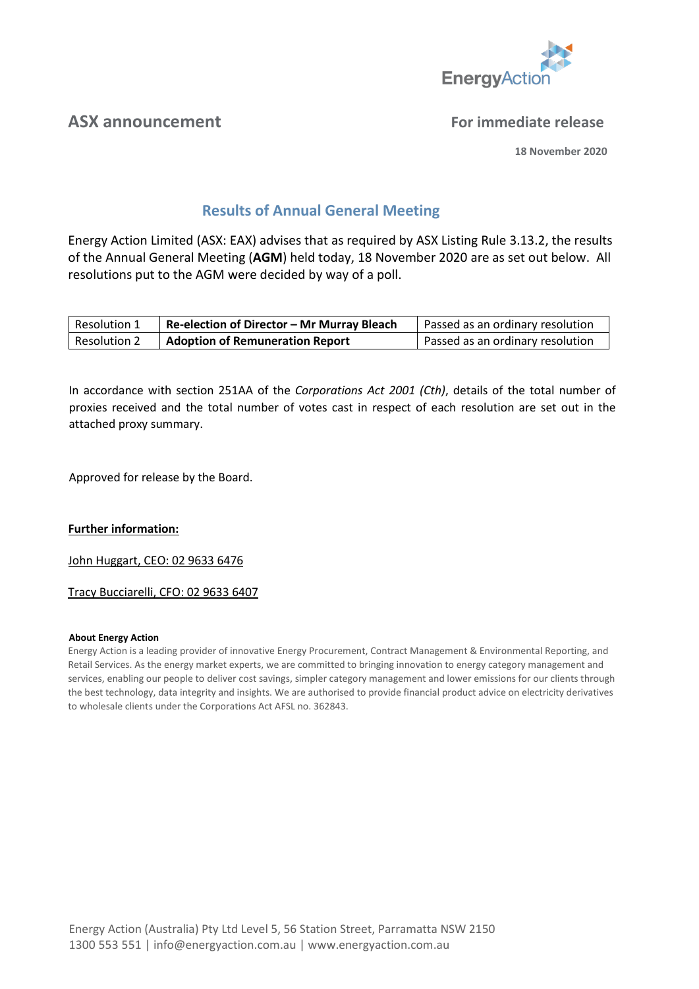

## **ASX announcement For immediate release**

**18 November 2020**

# **Results of Annual General Meeting**

Energy Action Limited (ASX: EAX) advises that as required by ASX Listing Rule 3.13.2, the results of the Annual General Meeting (**AGM**) held today, 18 November 2020 are as set out below. All resolutions put to the AGM were decided by way of a poll.

| Resolution 1        | Re-election of Director - Mr Murray Bleach | Passed as an ordinary resolution |
|---------------------|--------------------------------------------|----------------------------------|
| <b>Resolution 2</b> | <b>Adoption of Remuneration Report</b>     | Passed as an ordinary resolution |

In accordance with section 251AA of the *Corporations Act 2001 (Cth)*, details of the total number of proxies received and the total number of votes cast in respect of each resolution are set out in the attached proxy summary.

Approved for release by the Board.

## **Further information:**

John Huggart, CEO: 02 9633 6476

## Tracy Bucciarelli, CFO: 02 9633 6407

#### **About Energy Action**

Energy Action is a leading provider of innovative Energy Procurement, Contract Management & Environmental Reporting, and Retail Services. As the energy market experts, we are committed to bringing innovation to energy category management and services, enabling our people to deliver cost savings, simpler category management and lower emissions for our clients through the best technology, data integrity and insights. We are authorised to provide financial product advice on electricity derivatives to wholesale clients under the Corporations Act AFSL no. 362843.